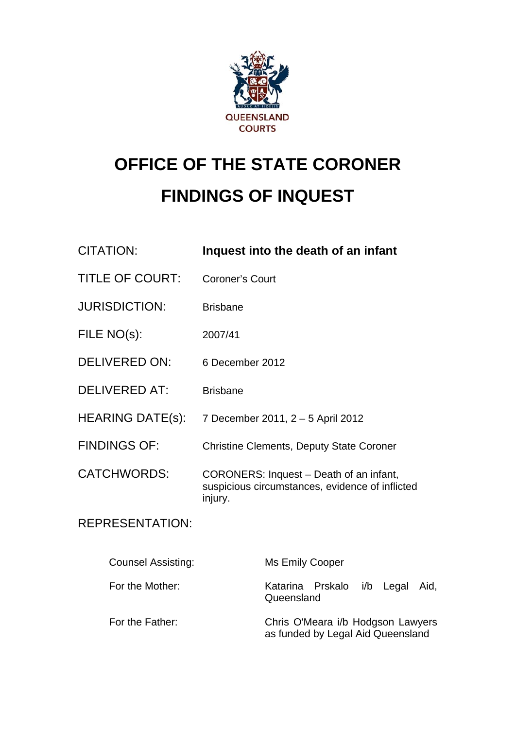

# **OFFICE OF THE STATE CORONER FINDINGS OF INQUEST**

| <b>CITATION:</b>          | Inquest into the death of an infant                                                                   |
|---------------------------|-------------------------------------------------------------------------------------------------------|
| <b>TITLE OF COURT:</b>    | <b>Coroner's Court</b>                                                                                |
| <b>JURISDICTION:</b>      | <b>Brisbane</b>                                                                                       |
| FILE NO(s):               | 2007/41                                                                                               |
| <b>DELIVERED ON:</b>      | 6 December 2012                                                                                       |
| <b>DELIVERED AT:</b>      | <b>Brisbane</b>                                                                                       |
| <b>HEARING DATE(s):</b>   | 7 December 2011, 2 - 5 April 2012                                                                     |
| <b>FINDINGS OF:</b>       | <b>Christine Clements, Deputy State Coroner</b>                                                       |
| <b>CATCHWORDS:</b>        | CORONERS: Inquest - Death of an infant,<br>suspicious circumstances, evidence of inflicted<br>injury. |
| <b>REPRESENTATION:</b>    |                                                                                                       |
| <b>Counsel Assisting:</b> | <b>Ms Emily Cooper</b>                                                                                |
| For the Mother:           | Katarina Prskalo i/b Legal<br>Aid,<br>Queensland                                                      |
| For the Father:           | Chris O'Meara i/b Hodgson Lawyers<br>as funded by Legal Aid Queensland                                |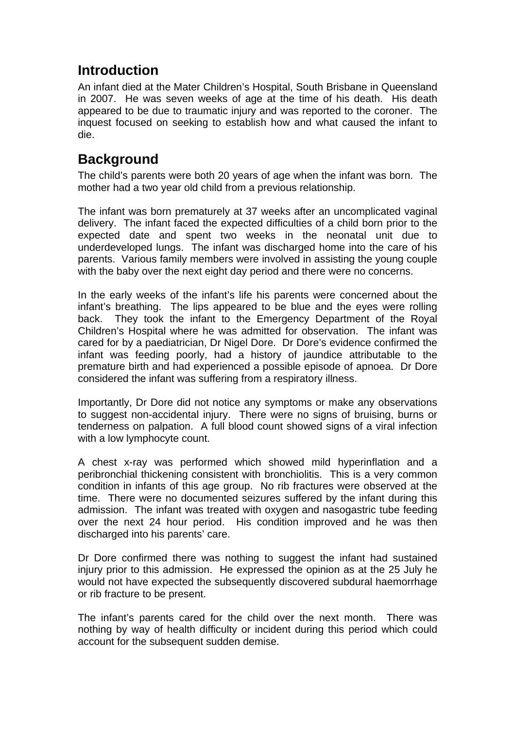# **Introduction**

An infant died at the Mater Children's Hospital, South Brisbane in Queensland in 2007. He was seven weeks of age at the time of his death. His death appeared to be due to traumatic injury and was reported to the coroner. The inquest focused on seeking to establish how and what caused the infant to die.

## **Background**

The child's parents were both 20 years of age when the infant was born. The mother had a two year old child from a previous relationship.

The infant was born prematurely at 37 weeks after an uncomplicated vaginal delivery. The infant faced the expected difficulties of a child born prior to the expected date and spent two weeks in the neonatal unit due to underdeveloped lungs. The infant was discharged home into the care of his parents. Various family members were involved in assisting the young couple with the baby over the next eight day period and there were no concerns.

In the early weeks of the infant's life his parents were concerned about the infant's breathing. The lips appeared to be blue and the eyes were rolling back. They took the infant to the Emergency Department of the Royal Children's Hospital where he was admitted for observation. The infant was cared for by a paediatrician, Dr Nigel Dore. Dr Dore's evidence confirmed the infant was feeding poorly, had a history of jaundice attributable to the premature birth and had experienced a possible episode of apnoea. Dr Dore considered the infant was suffering from a respiratory illness.

Importantly, Dr Dore did not notice any symptoms or make any observations to suggest non-accidental injury. There were no signs of bruising, burns or tenderness on palpation. A full blood count showed signs of a viral infection with a low lymphocyte count.

A chest x-ray was performed which showed mild hyperinflation and a peribronchial thickening consistent with bronchiolitis. This is a very common condition in infants of this age group. No rib fractures were observed at the time. There were no documented seizures suffered by the infant during this admission. The infant was treated with oxygen and nasogastric tube feeding over the next 24 hour period. His condition improved and he was then discharged into his parents' care.

Dr Dore confirmed there was nothing to suggest the infant had sustained injury prior to this admission. He expressed the opinion as at the 25 July he would not have expected the subsequently discovered subdural haemorrhage or rib fracture to be present.

The infant's parents cared for the child over the next month. There was nothing by way of health difficulty or incident during this period which could account for the subsequent sudden demise.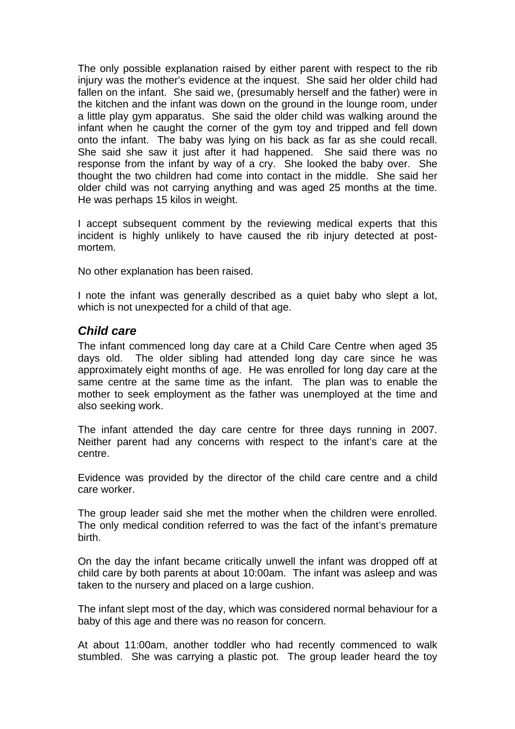The only possible explanation raised by either parent with respect to the rib injury was the mother's evidence at the inquest. She said her older child had fallen on the infant. She said we, (presumably herself and the father) were in the kitchen and the infant was down on the ground in the lounge room, under a little play gym apparatus. She said the older child was walking around the infant when he caught the corner of the gym toy and tripped and fell down onto the infant. The baby was lying on his back as far as she could recall. She said she saw it just after it had happened. She said there was no response from the infant by way of a cry. She looked the baby over. She thought the two children had come into contact in the middle. She said her older child was not carrying anything and was aged 25 months at the time. He was perhaps 15 kilos in weight.

I accept subsequent comment by the reviewing medical experts that this incident is highly unlikely to have caused the rib injury detected at postmortem.

No other explanation has been raised.

I note the infant was generally described as a quiet baby who slept a lot, which is not unexpected for a child of that age.

#### *Child care*

The infant commenced long day care at a Child Care Centre when aged 35 days old. The older sibling had attended long day care since he was approximately eight months of age. He was enrolled for long day care at the same centre at the same time as the infant. The plan was to enable the mother to seek employment as the father was unemployed at the time and also seeking work.

The infant attended the day care centre for three days running in 2007. Neither parent had any concerns with respect to the infant's care at the centre.

Evidence was provided by the director of the child care centre and a child care worker.

The group leader said she met the mother when the children were enrolled. The only medical condition referred to was the fact of the infant's premature birth.

On the day the infant became critically unwell the infant was dropped off at child care by both parents at about 10:00am. The infant was asleep and was taken to the nursery and placed on a large cushion.

The infant slept most of the day, which was considered normal behaviour for a baby of this age and there was no reason for concern.

At about 11:00am, another toddler who had recently commenced to walk stumbled. She was carrying a plastic pot. The group leader heard the toy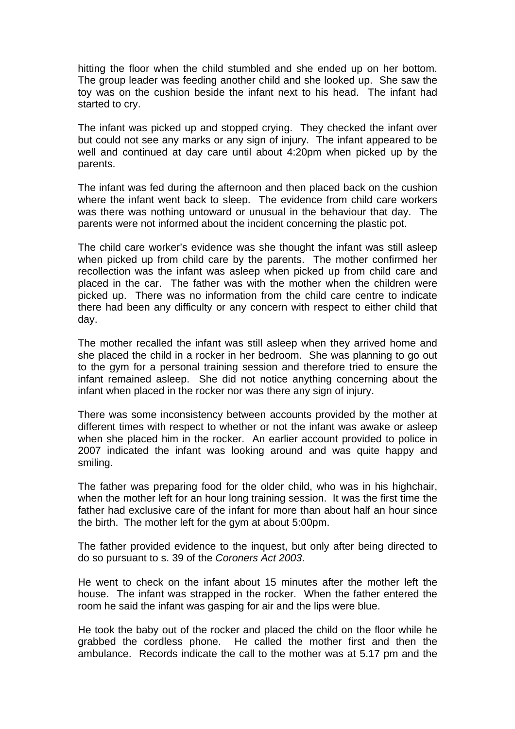hitting the floor when the child stumbled and she ended up on her bottom. The group leader was feeding another child and she looked up. She saw the toy was on the cushion beside the infant next to his head. The infant had started to cry.

The infant was picked up and stopped crying. They checked the infant over but could not see any marks or any sign of injury. The infant appeared to be well and continued at day care until about 4:20pm when picked up by the parents.

The infant was fed during the afternoon and then placed back on the cushion where the infant went back to sleep. The evidence from child care workers was there was nothing untoward or unusual in the behaviour that day. The parents were not informed about the incident concerning the plastic pot.

The child care worker's evidence was she thought the infant was still asleep when picked up from child care by the parents. The mother confirmed her recollection was the infant was asleep when picked up from child care and placed in the car. The father was with the mother when the children were picked up. There was no information from the child care centre to indicate there had been any difficulty or any concern with respect to either child that day.

The mother recalled the infant was still asleep when they arrived home and she placed the child in a rocker in her bedroom. She was planning to go out to the gym for a personal training session and therefore tried to ensure the infant remained asleep. She did not notice anything concerning about the infant when placed in the rocker nor was there any sign of injury.

There was some inconsistency between accounts provided by the mother at different times with respect to whether or not the infant was awake or asleep when she placed him in the rocker. An earlier account provided to police in 2007 indicated the infant was looking around and was quite happy and smiling.

The father was preparing food for the older child, who was in his highchair, when the mother left for an hour long training session. It was the first time the father had exclusive care of the infant for more than about half an hour since the birth. The mother left for the gym at about 5:00pm.

The father provided evidence to the inquest, but only after being directed to do so pursuant to s. 39 of the *Coroners Act 2003*.

He went to check on the infant about 15 minutes after the mother left the house. The infant was strapped in the rocker. When the father entered the room he said the infant was gasping for air and the lips were blue.

He took the baby out of the rocker and placed the child on the floor while he grabbed the cordless phone. He called the mother first and then the ambulance. Records indicate the call to the mother was at 5.17 pm and the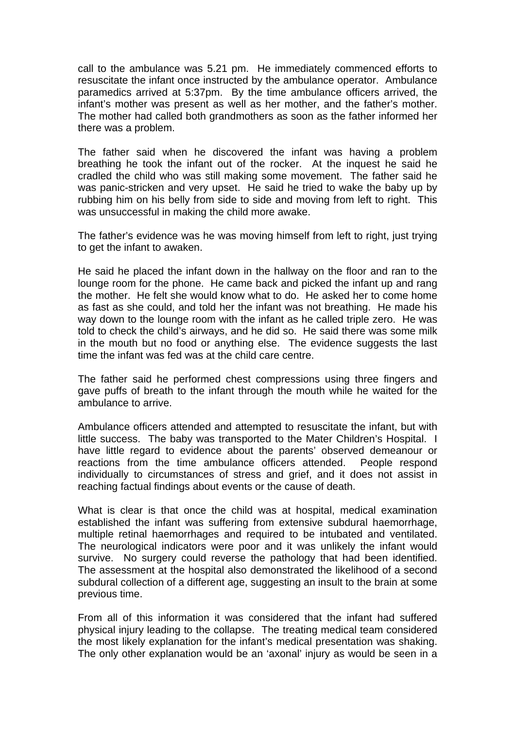call to the ambulance was 5.21 pm. He immediately commenced efforts to resuscitate the infant once instructed by the ambulance operator. Ambulance paramedics arrived at 5:37pm. By the time ambulance officers arrived, the infant's mother was present as well as her mother, and the father's mother. The mother had called both grandmothers as soon as the father informed her there was a problem.

The father said when he discovered the infant was having a problem breathing he took the infant out of the rocker. At the inquest he said he cradled the child who was still making some movement. The father said he was panic-stricken and very upset. He said he tried to wake the baby up by rubbing him on his belly from side to side and moving from left to right. This was unsuccessful in making the child more awake.

The father's evidence was he was moving himself from left to right, just trying to get the infant to awaken.

He said he placed the infant down in the hallway on the floor and ran to the lounge room for the phone. He came back and picked the infant up and rang the mother. He felt she would know what to do. He asked her to come home as fast as she could, and told her the infant was not breathing. He made his way down to the lounge room with the infant as he called triple zero. He was told to check the child's airways, and he did so. He said there was some milk in the mouth but no food or anything else. The evidence suggests the last time the infant was fed was at the child care centre.

The father said he performed chest compressions using three fingers and gave puffs of breath to the infant through the mouth while he waited for the ambulance to arrive.

Ambulance officers attended and attempted to resuscitate the infant, but with little success. The baby was transported to the Mater Children's Hospital. I have little regard to evidence about the parents' observed demeanour or reactions from the time ambulance officers attended. People respond individually to circumstances of stress and grief, and it does not assist in reaching factual findings about events or the cause of death.

What is clear is that once the child was at hospital, medical examination established the infant was suffering from extensive subdural haemorrhage, multiple retinal haemorrhages and required to be intubated and ventilated. The neurological indicators were poor and it was unlikely the infant would survive. No surgery could reverse the pathology that had been identified. The assessment at the hospital also demonstrated the likelihood of a second subdural collection of a different age, suggesting an insult to the brain at some previous time.

From all of this information it was considered that the infant had suffered physical injury leading to the collapse. The treating medical team considered the most likely explanation for the infant's medical presentation was shaking. The only other explanation would be an 'axonal' injury as would be seen in a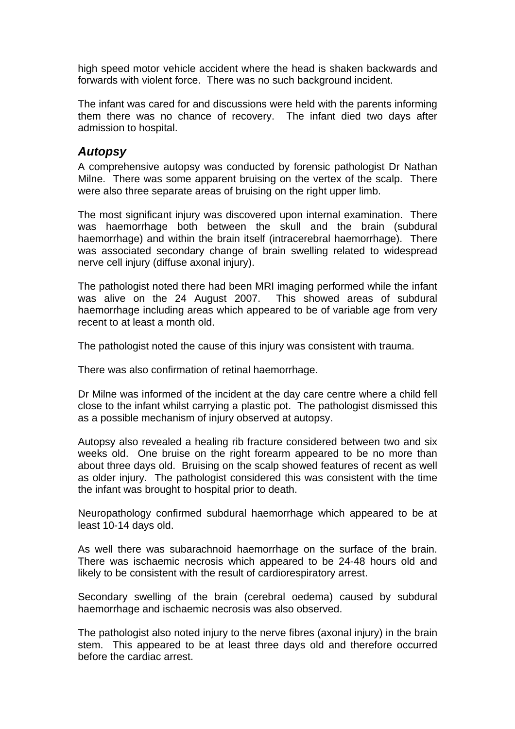high speed motor vehicle accident where the head is shaken backwards and forwards with violent force. There was no such background incident.

The infant was cared for and discussions were held with the parents informing them there was no chance of recovery. The infant died two days after admission to hospital.

#### *Autopsy*

A comprehensive autopsy was conducted by forensic pathologist Dr Nathan Milne. There was some apparent bruising on the vertex of the scalp. There were also three separate areas of bruising on the right upper limb.

The most significant injury was discovered upon internal examination. There was haemorrhage both between the skull and the brain (subdural haemorrhage) and within the brain itself (intracerebral haemorrhage). There was associated secondary change of brain swelling related to widespread nerve cell injury (diffuse axonal injury).

The pathologist noted there had been MRI imaging performed while the infant was alive on the 24 August 2007. This showed areas of subdural haemorrhage including areas which appeared to be of variable age from very recent to at least a month old.

The pathologist noted the cause of this injury was consistent with trauma.

There was also confirmation of retinal haemorrhage.

Dr Milne was informed of the incident at the day care centre where a child fell close to the infant whilst carrying a plastic pot. The pathologist dismissed this as a possible mechanism of injury observed at autopsy.

Autopsy also revealed a healing rib fracture considered between two and six weeks old. One bruise on the right forearm appeared to be no more than about three days old. Bruising on the scalp showed features of recent as well as older injury. The pathologist considered this was consistent with the time the infant was brought to hospital prior to death.

Neuropathology confirmed subdural haemorrhage which appeared to be at least 10-14 days old.

As well there was subarachnoid haemorrhage on the surface of the brain. There was ischaemic necrosis which appeared to be 24-48 hours old and likely to be consistent with the result of cardiorespiratory arrest.

Secondary swelling of the brain (cerebral oedema) caused by subdural haemorrhage and ischaemic necrosis was also observed.

The pathologist also noted injury to the nerve fibres (axonal injury) in the brain stem. This appeared to be at least three days old and therefore occurred before the cardiac arrest.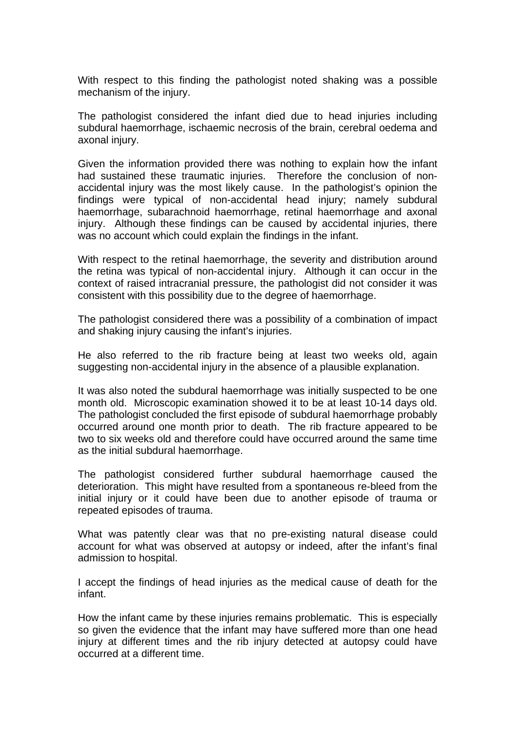With respect to this finding the pathologist noted shaking was a possible mechanism of the injury.

The pathologist considered the infant died due to head injuries including subdural haemorrhage, ischaemic necrosis of the brain, cerebral oedema and axonal injury.

Given the information provided there was nothing to explain how the infant had sustained these traumatic injuries. Therefore the conclusion of nonaccidental injury was the most likely cause. In the pathologist's opinion the findings were typical of non-accidental head injury; namely subdural haemorrhage, subarachnoid haemorrhage, retinal haemorrhage and axonal injury. Although these findings can be caused by accidental injuries, there was no account which could explain the findings in the infant.

With respect to the retinal haemorrhage, the severity and distribution around the retina was typical of non-accidental injury. Although it can occur in the context of raised intracranial pressure, the pathologist did not consider it was consistent with this possibility due to the degree of haemorrhage.

The pathologist considered there was a possibility of a combination of impact and shaking injury causing the infant's injuries.

He also referred to the rib fracture being at least two weeks old, again suggesting non-accidental injury in the absence of a plausible explanation.

It was also noted the subdural haemorrhage was initially suspected to be one month old. Microscopic examination showed it to be at least 10-14 days old. The pathologist concluded the first episode of subdural haemorrhage probably occurred around one month prior to death. The rib fracture appeared to be two to six weeks old and therefore could have occurred around the same time as the initial subdural haemorrhage.

The pathologist considered further subdural haemorrhage caused the deterioration. This might have resulted from a spontaneous re-bleed from the initial injury or it could have been due to another episode of trauma or repeated episodes of trauma.

What was patently clear was that no pre-existing natural disease could account for what was observed at autopsy or indeed, after the infant's final admission to hospital.

I accept the findings of head injuries as the medical cause of death for the infant.

How the infant came by these injuries remains problematic. This is especially so given the evidence that the infant may have suffered more than one head injury at different times and the rib injury detected at autopsy could have occurred at a different time.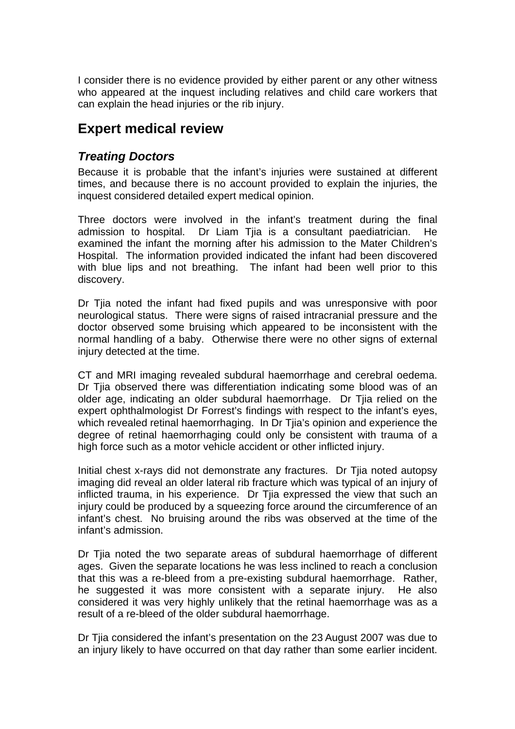I consider there is no evidence provided by either parent or any other witness who appeared at the inquest including relatives and child care workers that can explain the head injuries or the rib injury.

## **Expert medical review**

#### *Treating Doctors*

Because it is probable that the infant's injuries were sustained at different times, and because there is no account provided to explain the injuries, the inquest considered detailed expert medical opinion.

Three doctors were involved in the infant's treatment during the final admission to hospital. Dr Liam Tjia is a consultant paediatrician. He examined the infant the morning after his admission to the Mater Children's Hospital. The information provided indicated the infant had been discovered with blue lips and not breathing. The infant had been well prior to this discovery.

Dr Tjia noted the infant had fixed pupils and was unresponsive with poor neurological status. There were signs of raised intracranial pressure and the doctor observed some bruising which appeared to be inconsistent with the normal handling of a baby. Otherwise there were no other signs of external injury detected at the time.

CT and MRI imaging revealed subdural haemorrhage and cerebral oedema. Dr Tjia observed there was differentiation indicating some blood was of an older age, indicating an older subdural haemorrhage. Dr Tjia relied on the expert ophthalmologist Dr Forrest's findings with respect to the infant's eyes, which revealed retinal haemorrhaging. In Dr Tjia's opinion and experience the degree of retinal haemorrhaging could only be consistent with trauma of a high force such as a motor vehicle accident or other inflicted injury.

Initial chest x-rays did not demonstrate any fractures. Dr Tjia noted autopsy imaging did reveal an older lateral rib fracture which was typical of an injury of inflicted trauma, in his experience. Dr Tjia expressed the view that such an injury could be produced by a squeezing force around the circumference of an infant's chest. No bruising around the ribs was observed at the time of the infant's admission.

Dr Tjia noted the two separate areas of subdural haemorrhage of different ages. Given the separate locations he was less inclined to reach a conclusion that this was a re-bleed from a pre-existing subdural haemorrhage. Rather, he suggested it was more consistent with a separate injury. He also considered it was very highly unlikely that the retinal haemorrhage was as a result of a re-bleed of the older subdural haemorrhage.

Dr Tjia considered the infant's presentation on the 23 August 2007 was due to an injury likely to have occurred on that day rather than some earlier incident.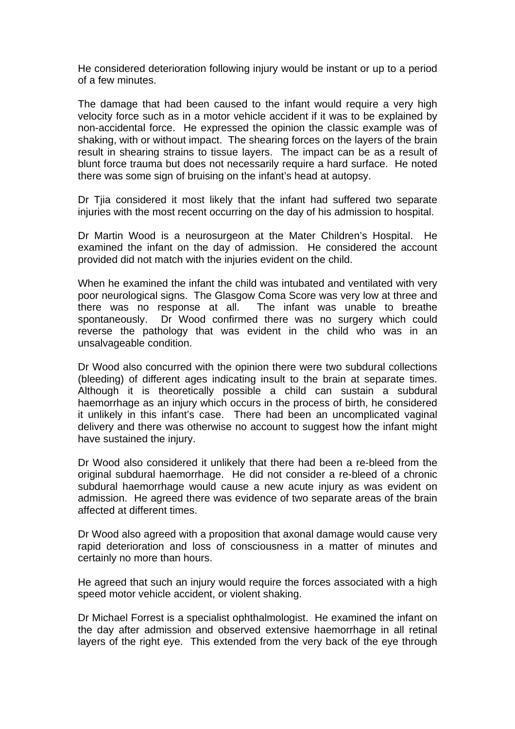He considered deterioration following injury would be instant or up to a period of a few minutes.

The damage that had been caused to the infant would require a very high velocity force such as in a motor vehicle accident if it was to be explained by non-accidental force. He expressed the opinion the classic example was of shaking, with or without impact. The shearing forces on the layers of the brain result in shearing strains to tissue layers. The impact can be as a result of blunt force trauma but does not necessarily require a hard surface. He noted there was some sign of bruising on the infant's head at autopsy.

Dr Tjia considered it most likely that the infant had suffered two separate injuries with the most recent occurring on the day of his admission to hospital.

Dr Martin Wood is a neurosurgeon at the Mater Children's Hospital. He examined the infant on the day of admission. He considered the account provided did not match with the injuries evident on the child.

When he examined the infant the child was intubated and ventilated with very poor neurological signs. The Glasgow Coma Score was very low at three and there was no response at all. The infant was unable to breathe spontaneously. Dr Wood confirmed there was no surgery which could reverse the pathology that was evident in the child who was in an unsalvageable condition.

Dr Wood also concurred with the opinion there were two subdural collections (bleeding) of different ages indicating insult to the brain at separate times. Although it is theoretically possible a child can sustain a subdural haemorrhage as an injury which occurs in the process of birth, he considered it unlikely in this infant's case. There had been an uncomplicated vaginal delivery and there was otherwise no account to suggest how the infant might have sustained the injury.

Dr Wood also considered it unlikely that there had been a re-bleed from the original subdural haemorrhage. He did not consider a re-bleed of a chronic subdural haemorrhage would cause a new acute injury as was evident on admission. He agreed there was evidence of two separate areas of the brain affected at different times.

Dr Wood also agreed with a proposition that axonal damage would cause very rapid deterioration and loss of consciousness in a matter of minutes and certainly no more than hours.

He agreed that such an injury would require the forces associated with a high speed motor vehicle accident, or violent shaking.

Dr Michael Forrest is a specialist ophthalmologist. He examined the infant on the day after admission and observed extensive haemorrhage in all retinal layers of the right eye. This extended from the very back of the eye through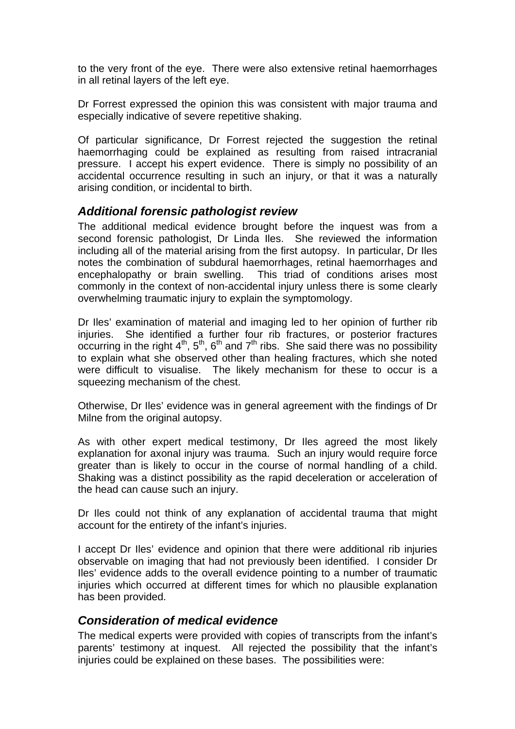to the very front of the eye. There were also extensive retinal haemorrhages in all retinal layers of the left eye.

Dr Forrest expressed the opinion this was consistent with major trauma and especially indicative of severe repetitive shaking.

Of particular significance, Dr Forrest rejected the suggestion the retinal haemorrhaging could be explained as resulting from raised intracranial pressure. I accept his expert evidence. There is simply no possibility of an accidental occurrence resulting in such an injury, or that it was a naturally arising condition, or incidental to birth.

## *Additional forensic pathologist review*

The additional medical evidence brought before the inquest was from a second forensic pathologist, Dr Linda Iles. She reviewed the information including all of the material arising from the first autopsy. In particular, Dr Iles notes the combination of subdural haemorrhages, retinal haemorrhages and encephalopathy or brain swelling. This triad of conditions arises most commonly in the context of non-accidental injury unless there is some clearly overwhelming traumatic injury to explain the symptomology.

Dr Iles' examination of material and imaging led to her opinion of further rib injuries. She identified a further four rib fractures, or posterior fractures occurring in the right  $4^{th}$ ,  $5^{th}$ ,  $6^{th}$  and  $7^{th}$  ribs. She said there was no possibility to explain what she observed other than healing fractures, which she noted were difficult to visualise. The likely mechanism for these to occur is a squeezing mechanism of the chest.

Otherwise, Dr Iles' evidence was in general agreement with the findings of Dr Milne from the original autopsy.

As with other expert medical testimony, Dr Iles agreed the most likely explanation for axonal injury was trauma. Such an injury would require force greater than is likely to occur in the course of normal handling of a child. Shaking was a distinct possibility as the rapid deceleration or acceleration of the head can cause such an injury.

Dr Iles could not think of any explanation of accidental trauma that might account for the entirety of the infant's injuries.

I accept Dr Iles' evidence and opinion that there were additional rib injuries observable on imaging that had not previously been identified. I consider Dr Iles' evidence adds to the overall evidence pointing to a number of traumatic injuries which occurred at different times for which no plausible explanation has been provided.

## *Consideration of medical evidence*

The medical experts were provided with copies of transcripts from the infant's parents' testimony at inquest. All rejected the possibility that the infant's injuries could be explained on these bases. The possibilities were: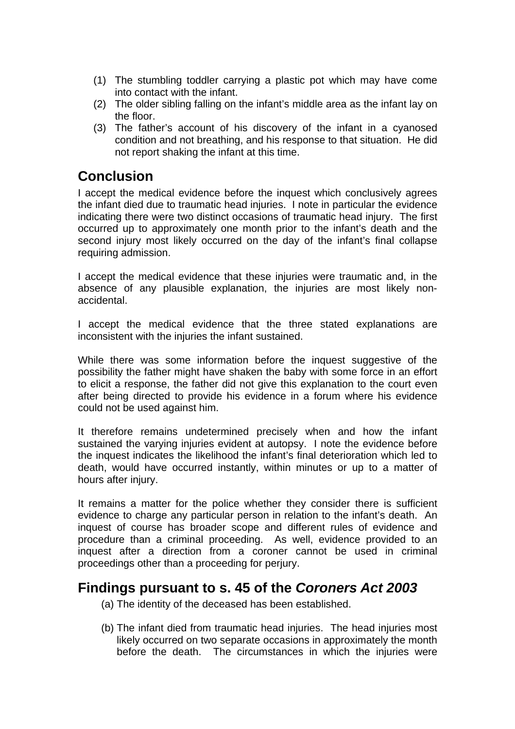- (1) The stumbling toddler carrying a plastic pot which may have come into contact with the infant.
- (2) The older sibling falling on the infant's middle area as the infant lay on the floor.
- (3) The father's account of his discovery of the infant in a cyanosed condition and not breathing, and his response to that situation. He did not report shaking the infant at this time.

## **Conclusion**

I accept the medical evidence before the inquest which conclusively agrees the infant died due to traumatic head injuries. I note in particular the evidence indicating there were two distinct occasions of traumatic head injury. The first occurred up to approximately one month prior to the infant's death and the second injury most likely occurred on the day of the infant's final collapse requiring admission.

I accept the medical evidence that these injuries were traumatic and, in the absence of any plausible explanation, the injuries are most likely nonaccidental.

I accept the medical evidence that the three stated explanations are inconsistent with the injuries the infant sustained.

While there was some information before the inquest suggestive of the possibility the father might have shaken the baby with some force in an effort to elicit a response, the father did not give this explanation to the court even after being directed to provide his evidence in a forum where his evidence could not be used against him.

It therefore remains undetermined precisely when and how the infant sustained the varying injuries evident at autopsy. I note the evidence before the inquest indicates the likelihood the infant's final deterioration which led to death, would have occurred instantly, within minutes or up to a matter of hours after injury.

It remains a matter for the police whether they consider there is sufficient evidence to charge any particular person in relation to the infant's death. An inquest of course has broader scope and different rules of evidence and procedure than a criminal proceeding. As well, evidence provided to an inquest after a direction from a coroner cannot be used in criminal proceedings other than a proceeding for perjury.

## **Findings pursuant to s. 45 of the** *Coroners Act 2003*

- (a) The identity of the deceased has been established.
- (b) The infant died from traumatic head injuries. The head injuries most likely occurred on two separate occasions in approximately the month before the death. The circumstances in which the injuries were